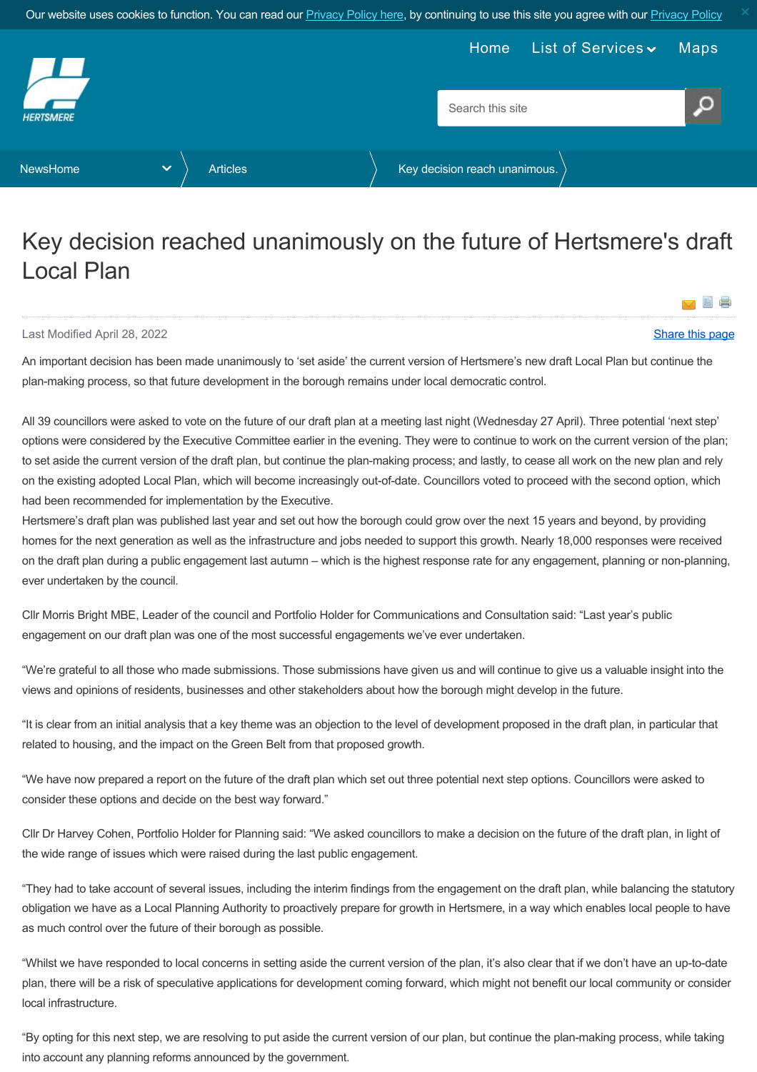<span id="page-0-0"></span>

## Key decision reached unanimously on the future of Hertsmere's draft Local Plan

## Last Modified April 28, 2022 [Share this page](http://www.addthis.com/bookmark.php?v=250&pubid=xa-502e5fd570edcb1e) of the state of the state of the state of the state of the state of the state of the state of the state of the state of the state of the state of the state of the state of the s

**EDIE** 

×

An important decision has been made unanimously to 'set aside' the current version of Hertsmere's new draft Local Plan but continue the plan-making process, so that future development in the borough remains under local democratic control.

All 39 councillors were asked to vote on the future of our draft plan at a meeting last night (Wednesday 27 April). Three potential 'next step' options were considered by the Executive Committee earlier in the evening. They were to continue to work on the current version of the plan; to set aside the current version of the draft plan, but continue the plan-making process; and lastly, to cease all work on the new plan and rely on the existing adopted Local Plan, which will become increasingly out-of-date. Councillors voted to proceed with the second option, which had been recommended for implementation by the Executive.

Hertsmere's draft plan was published last year and set out how the borough could grow over the next 15 years and beyond, by providing homes for the next generation as well as the infrastructure and jobs needed to support this growth. Nearly 18,000 responses were received on the draft plan during a public engagement last autumn – which is the highest response rate for any engagement, planning or non-planning, ever undertaken by the council.

Cllr Morris Bright MBE, Leader of the council and Portfolio Holder for Communications and Consultation said: "Last year's public engagement on our draft plan was one of the most successful engagements we've ever undertaken.

"We're grateful to all those who made submissions. Those submissions have given us and will continue to give us a valuable insight into the views and opinions of residents, businesses and other stakeholders about how the borough might develop in the future.

"It is clear from an initial analysis that a key theme was an objection to the level of development proposed in the draft plan, in particular that related to housing, and the impact on the Green Belt from that proposed growth.

"We have now prepared a report on the future of the draft plan which set out three potential next step options. Councillors were asked to consider these options and decide on the best way forward."

Cllr Dr Harvey Cohen, Portfolio Holder for Planning said: "We asked councillors to make a decision on the future of the draft plan, in light of the wide range of issues which were raised during the last public engagement.

"They had to take account of several issues, including the interim findings from the engagement on the draft plan, while balancing the statutory obligation we have as a Local Planning Authority to proactively prepare for growth in Hertsmere, in a way which enables local people to have as much control over the future of their borough as possible.

"Whilst we have responded to local concerns in setting aside the current version of the plan, it's also clear that if we don't have an up-to-date plan, there will be a risk of speculative applications for development coming forward, which might not benefit our local community or consider local infrastructure.

"By opting for this next step, we are resolving to put aside the current version of our plan, but continue the plan-making process, while taking into account any planning reforms announced by the government.